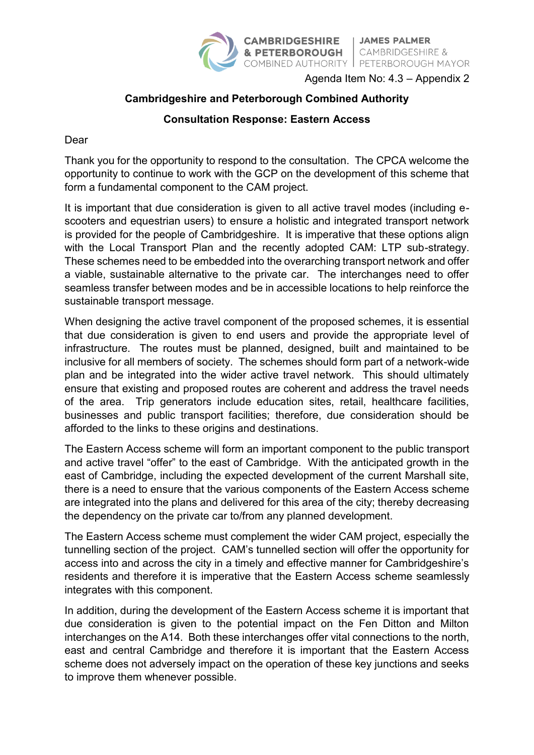

Agenda Item No: 4.3 – Appendix 2

## **Cambridgeshire and Peterborough Combined Authority**

## **Consultation Response: Eastern Access**

Dear

Thank you for the opportunity to respond to the consultation. The CPCA welcome the opportunity to continue to work with the GCP on the development of this scheme that form a fundamental component to the CAM project.

It is important that due consideration is given to all active travel modes (including escooters and equestrian users) to ensure a holistic and integrated transport network is provided for the people of Cambridgeshire. It is imperative that these options align with the Local Transport Plan and the recently adopted CAM: LTP sub-strategy. These schemes need to be embedded into the overarching transport network and offer a viable, sustainable alternative to the private car. The interchanges need to offer seamless transfer between modes and be in accessible locations to help reinforce the sustainable transport message.

When designing the active travel component of the proposed schemes, it is essential that due consideration is given to end users and provide the appropriate level of infrastructure. The routes must be planned, designed, built and maintained to be inclusive for all members of society. The schemes should form part of a network-wide plan and be integrated into the wider active travel network. This should ultimately ensure that existing and proposed routes are coherent and address the travel needs of the area. Trip generators include education sites, retail, healthcare facilities, businesses and public transport facilities; therefore, due consideration should be afforded to the links to these origins and destinations.

The Eastern Access scheme will form an important component to the public transport and active travel "offer" to the east of Cambridge. With the anticipated growth in the east of Cambridge, including the expected development of the current Marshall site, there is a need to ensure that the various components of the Eastern Access scheme are integrated into the plans and delivered for this area of the city; thereby decreasing the dependency on the private car to/from any planned development.

The Eastern Access scheme must complement the wider CAM project, especially the tunnelling section of the project. CAM's tunnelled section will offer the opportunity for access into and across the city in a timely and effective manner for Cambridgeshire's residents and therefore it is imperative that the Eastern Access scheme seamlessly integrates with this component.

In addition, during the development of the Eastern Access scheme it is important that due consideration is given to the potential impact on the Fen Ditton and Milton interchanges on the A14. Both these interchanges offer vital connections to the north, east and central Cambridge and therefore it is important that the Eastern Access scheme does not adversely impact on the operation of these key junctions and seeks to improve them whenever possible.